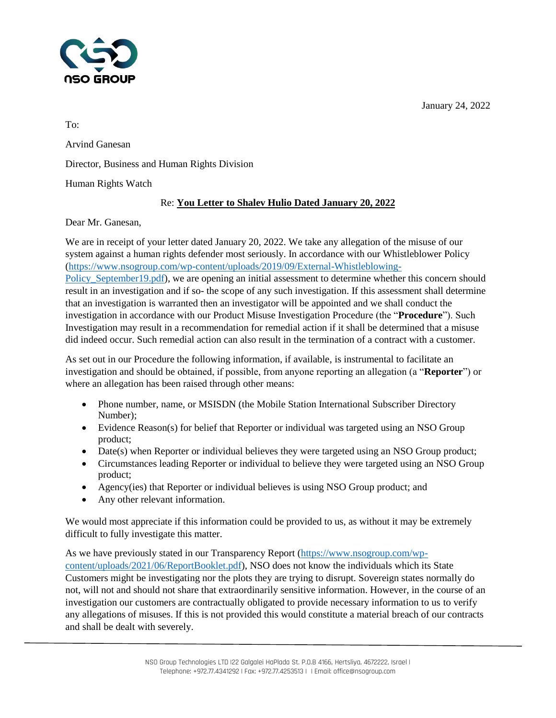January 24, 2022



To: Arvind Ganesan Director, Business and Human Rights Division Human Rights Watch

## Re: **You Letter to Shalev Hulio Dated January 20, 2022**

Dear Mr. Ganesan,

We are in receipt of your letter dated January 20, 2022. We take any allegation of the misuse of our system against a human rights defender most seriously. In accordance with our Whistleblower Policy [\(https://www.nsogroup.com/wp-content/uploads/2019/09/External-Whistleblowing-](https://www.nsogroup.com/wp-content/uploads/2019/09/External-Whistleblowing-Policy_September19.pdf)[Policy\\_September19.pdf\)](https://www.nsogroup.com/wp-content/uploads/2019/09/External-Whistleblowing-Policy_September19.pdf), we are opening an initial assessment to determine whether this concern should result in an investigation and if so- the scope of any such investigation. If this assessment shall determine that an investigation is warranted then an investigator will be appointed and we shall conduct the investigation in accordance with our Product Misuse Investigation Procedure (the "**Procedure**"). Such Investigation may result in a recommendation for remedial action if it shall be determined that a misuse did indeed occur. Such remedial action can also result in the termination of a contract with a customer.

As set out in our Procedure the following information, if available, is instrumental to facilitate an investigation and should be obtained, if possible, from anyone reporting an allegation (a "**Reporter**") or where an allegation has been raised through other means:

- Phone number, name, or MSISDN (the Mobile Station International Subscriber Directory Number);
- Evidence Reason(s) for belief that Reporter or individual was targeted using an NSO Group product;
- Date(s) when Reporter or individual believes they were targeted using an NSO Group product;
- Circumstances leading Reporter or individual to believe they were targeted using an NSO Group product;
- Agency(ies) that Reporter or individual believes is using NSO Group product; and
- Any other relevant information.

We would most appreciate if this information could be provided to us, as without it may be extremely difficult to fully investigate this matter.

As we have previously stated in our Transparency Report [\(https://www.nsogroup.com/wp](https://www.nsogroup.com/wp-content/uploads/2021/06/ReportBooklet.pdf)[content/uploads/2021/06/ReportBooklet.pdf\)](https://www.nsogroup.com/wp-content/uploads/2021/06/ReportBooklet.pdf), NSO does not know the individuals which its State Customers might be investigating nor the plots they are trying to disrupt. Sovereign states normally do not, will not and should not share that extraordinarily sensitive information. However, in the course of an investigation our customers are contractually obligated to provide necessary information to us to verify any allegations of misuses. If this is not provided this would constitute a material breach of our contracts and shall be dealt with severely.